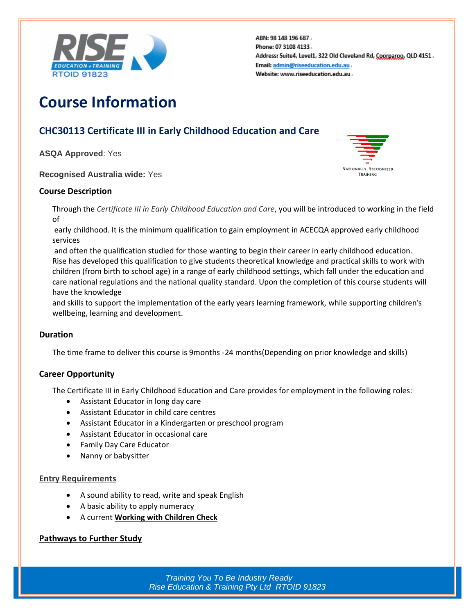

ABN: 98 148 196 687. Phone: 07 3108 4133. Address: Suite4, Level1, 322 Old Cleveland Rd, Coorparoo, QLD 4151. Email: admin@riseeducation.edu.au. Website: www.riseeducation.edu.au.

# **Course Information**

## **CHC30113 Certificate III in Early Childhood Education and Care**

**ASQA Approved**: Yes

**Recognised Australia wide:** Yes

#### **Course Description**

Through the *Certificate III in Early Childhood Education and Care*, you will be introduced to working in the field of

early childhood. It is the minimum qualification to gain employment in ACECQA approved early childhood services

and often the qualification studied for those wanting to begin their career in early childhood education. Rise has developed this qualification to give students theoretical knowledge and practical skills to work with children (from birth to school age) in a range of early childhood settings, which fall under the education and care national regulations and the national quality standard. Upon the completion of this course students will have the knowledge

and skills to support the implementation of the early years learning framework, while supporting children's wellbeing, learning and development.

#### **Duration**

The time frame to deliver this course is 9months -24 months(Depending on prior knowledge and skills)

#### **Career Opportunity**

The Certificate III in Early Childhood Education and Care provides for employment in the following roles:

- Assistant Educator in long day care
- Assistant Educator in child care centres
- Assistant Educator in a Kindergarten or preschool program
- Assistant Educator in occasional care
- Family Day Care Educator
- Nanny or babysitter

#### **Entry Requirements**

- A sound ability to read, write and speak English
- A basic ability to apply numeracy
- A current **[Working with Children Check](http://aifs.gov.au/cfca/publications/pre-employment-screening-working-children-checks-and-police-checks/part-overview)**

#### **Pathways to Further Study**

*Training You To Be Industry Ready Rise Education & Training Pty Ltd RTOID 91823*

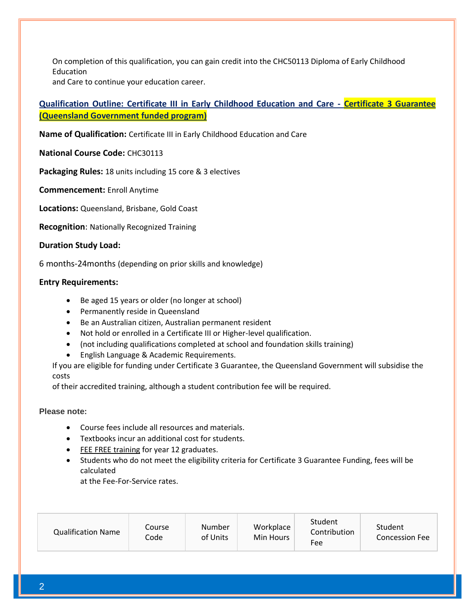On completion of this qualification, you can gain credit into the CHC50113 Diploma of Early Childhood Education

and Care to continue your education career.

### **Qualification Outline: Certificate III in Early Childhood Education and Care - Certificate 3 Guarantee (Queensland Government funded program)**

**Name of Qualification:** Certificate III in Early Childhood Education and Care

**National Course Code:** CHC30113

**Packaging Rules:** 18 units including 15 core & 3 electives

**Commencement:** Enroll Anytime

**Locations:** Queensland, Brisbane, Gold Coast

**Recognition**: Nationally Recognized Training

#### **Duration Study Load:**

6 months-24months (depending on prior skills and knowledge)

#### **Entry Requirements:**

- Be aged 15 years or older (no longer at school)
- Permanently reside in Queensland
- Be an Australian citizen, Australian permanent resident
- Not hold or enrolled in a Certificate III or Higher-level qualification.
- (not including qualifications completed at school and foundation skills training)
- English Language & Academic Requirements.

If you are eligible for funding under Certificate 3 Guarantee, the Queensland Government will subsidise the costs

of their accredited training, although a student contribution fee will be required.

#### **Please note:**

- Course fees include all resources and materials.
- Textbooks incur an additional cost for students.
- [FEE FREE training](https://www.accco.com.au/fees-and-funding/qld/fee-free-training-for-year-12-graduates/) for year 12 graduates.
- Students who do not meet the eligibility criteria for Certificate 3 Guarantee Funding, fees will be calculated

at the Fee-For-Service rates.

| <b>Qualification Name</b> | Course<br>Code | Number<br>of Units | Workplace<br>Min Hours | Student<br>Contribution<br>Fee | Student<br><b>Concession Fee</b> |
|---------------------------|----------------|--------------------|------------------------|--------------------------------|----------------------------------|
|---------------------------|----------------|--------------------|------------------------|--------------------------------|----------------------------------|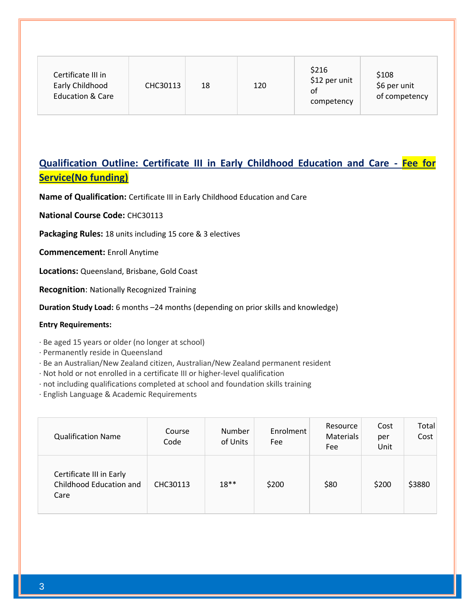## **Qualification Outline: Certificate III in Early Childhood Education and Care - Fee for Service(No funding)**

**Name of Qualification:** Certificate III in Early Childhood Education and Care

**National Course Code:** CHC30113

**Packaging Rules:** 18 units including 15 core & 3 electives

**Commencement:** Enroll Anytime

**Locations:** Queensland, Brisbane, Gold Coast

**Recognition**: Nationally Recognized Training

**Duration Study Load:** 6 months –24 months (depending on prior skills and knowledge)

#### **Entry Requirements:**

· Be aged 15 years or older (no longer at school)

· Permanently reside in Queensland

· Be an Australian/New Zealand citizen, Australian/New Zealand permanent resident

· Not hold or not enrolled in a certificate III or higher-level qualification

· not including qualifications completed at school and foundation skills training

· English Language & Academic Requirements

| <b>Qualification Name</b>                                   | Course<br>Code | Number<br>of Units | Enrolment<br>Fee | Resource<br>Materials<br>Fee | Cost<br>per<br>Unit | Total<br>Cost |
|-------------------------------------------------------------|----------------|--------------------|------------------|------------------------------|---------------------|---------------|
| Certificate III in Early<br>Childhood Education and<br>Care | CHC30113       | $18**$             | \$200            | \$80                         | \$200               | \$3880        |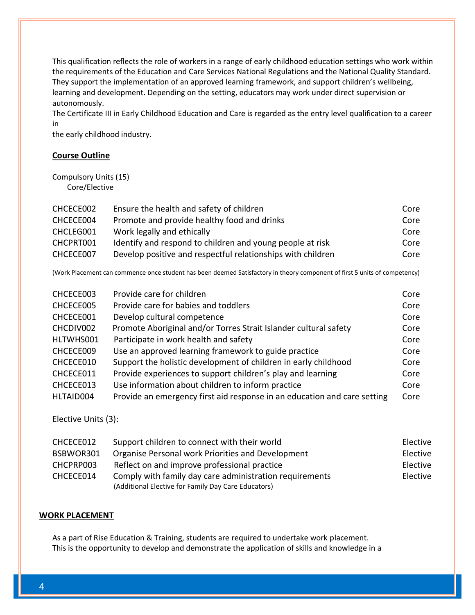This qualification reflects the role of workers in a range of early childhood education settings who work within the requirements of the Education and Care Services National Regulations and the National Quality Standard. They support the implementation of an approved learning framework, and support children's wellbeing, learning and development. Depending on the setting, educators may work under direct supervision or autonomously.

The Certificate III in Early Childhood Education and Care is regarded as the entry level qualification to a career in

the early childhood industry.

#### **Course Outline**

Compulsory Units (15) Core/Elective

| CHCECE002 | Ensure the health and safety of children                    | Core |
|-----------|-------------------------------------------------------------|------|
| CHCECE004 | Promote and provide healthy food and drinks                 | Core |
| CHCLEG001 | Work legally and ethically                                  | Core |
| CHCPRT001 | Identify and respond to children and young people at risk   | Core |
| CHCECE007 | Develop positive and respectful relationships with children | Core |

(Work Placement can commence once student has been deemed Satisfactory in theory component of first 5 units of competency)

| CHCECE003 | Provide care for children                                                | Core |
|-----------|--------------------------------------------------------------------------|------|
| CHCECE005 | Provide care for babies and toddlers                                     | Core |
| CHCECE001 | Develop cultural competence                                              | Core |
| CHCDIV002 | Promote Aboriginal and/or Torres Strait Islander cultural safety         | Core |
| HLTWHS001 | Participate in work health and safety                                    | Core |
| CHCECE009 | Use an approved learning framework to guide practice                     | Core |
| CHCECE010 | Support the holistic development of children in early childhood          | Core |
| CHCECE011 | Provide experiences to support children's play and learning              | Core |
| CHCECE013 | Use information about children to inform practice                        | Core |
| HLTAID004 | Provide an emergency first aid response in an education and care setting | Core |

Elective Units (3):

| CHCECE012 | Support children to connect with their world            | Elective |
|-----------|---------------------------------------------------------|----------|
| BSBWOR301 | Organise Personal work Priorities and Development       | Elective |
| CHCPRP003 | Reflect on and improve professional practice            | Elective |
| CHCECE014 | Comply with family day care administration requirements | Elective |
|           | (Additional Elective for Family Day Care Educators)     |          |

#### **WORK PLACEMENT**

As a part of Rise Education & Training, students are required to undertake work placement. This is the opportunity to develop and demonstrate the application of skills and knowledge in a